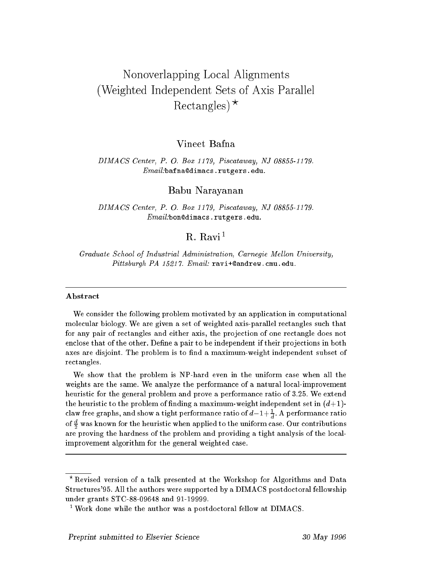# Nonoverlapping Local Alignments (Weighted Independent Sets of Axis Parallel  $Rectangles)$ <sup>\*</sup>

Vineet Bafna

DIMACS Center, P. O. Box 1179, Piscataway, NJ 08855-1179. Email:bafna@dimacs.rutgers.edu.

Babu Narayanan

DIMACS Center, P. O. Box 1179, Piscataway, NJ 08855-1179. Email:bon@dimacs.rutgers.edu.

# R. Ravi <sup>1</sup>

Graduate School of Industrial Administration, Carnegie Mellon University, Pittsburgh PA 15217. Email: ravi+@andrew.cmu.edu.

#### Abstract

We consider the following problem motivated by an application in computational molecular biology. We are given a set of weighted axis-parallel rectangles such that for any pair of rectangles and either axis, the projection of one rectangle does not enclose that of the other. Define a pair to be independent if their projections in both axes are disjoint. The problem is to find a maximum-weight independent subset of rectangles.

We show that the problem is NP-hard even in the uniform case when all the weights are the same. We analyze the performance of a natural local-improvement heuristic for the general problem and prove a performance ratio of 3.25. We extend the heuristic to the problem of finding a maximum-weight independent set in  $(d+1)$ claw free graphs, and show a tight performance ratio of  $a-1+\frac{1}{2}$ . A performance ratio of  $\frac{d}{2}$  was known for the heuristic when applied to the uniform case. Our contributions are proving the hardness of the problem and providing a tight analysis of the localimprovement algorithm for the general weighted case.

 $^\circ$  Revised version of a talk presented at the Workshop for Algorithms and Data Structures'95. All the authors were supported by a DIMACS postdoctoral fellowship under grants STC-88-09648 and 91-19999.

 $\,$  work done while the author was a postdoctoral fellow at DIMACS.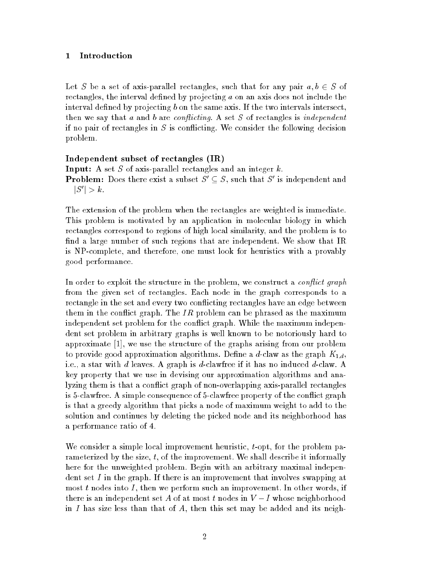# 1 Introduction

Let S be a set of axis-parallel rectangles, such that for any pair  $a, b \in S$  of rectangles, the interval defined by projecting  $a$  on an axis does not include the interval defined by projecting b on the same axis. If the two intervals intersect. then we say that  $a$  and  $b$  are conflicting. A set  $S$  of rectangles is independent if no pair of rectangles in  $S$  is conflicting. We consider the following decision problem.

## Independent subset of rectangles (IR)

**Input:** A set S of axis-parallel rectangles and an integer  $k$ . **Problem:** Does there exist a subset  $S\ \cup\ S$ , such that  $S$  is independent and  $|D| \geq k$ .

The extension of the problem when the rectangles are weighted is immediate. This problem is motivated by an application in molecular biology in which rectangles correspond to regions of high local similarity, and the problem is to find a large number of such regions that are independent. We show that IR is NP-complete, and therefore, one must look for heuristics with a provably good performance.

In order to exploit the structure in the problem, we construct a *conflict graph* from the given set of rectangles. Each node in the graph corresponds to a rectangle in the set and every two con
icting rectangles have an edge between them in the conflict graph. The  $IR$  problem can be phrased as the maximum independent set problem for the conflict graph. While the maximum independent set problem in arbitrary graphs is well known to be notoriously hard to approximate [1], we use the structure of the graphs arising from our problem to provide good approximation algorithms. Define a d-claw as the graph  $K_{1,d}$ , i.e., a star with d leaves. A graph is d-clawfree if it has no induced d-claw. A key property that we use in devising our approximation algorithms and analyzing them is that a conflict graph of non-overlapping axis-parallel rectangles is 5-clawfree. A simple consequence of 5-clawfree property of the conflict graph is that a greedy algorithm that picks a node of maximum weight to add to the solution and continues by deleting the picked node and its neighborhood has a performance ratio of 4.

We consider a simple local improvement heuristic, t-opt, for the problem parameterized by the size,  $t$ , of the improvement. We shall describe it informally here for the unweighted problem. Begin with an arbitrary maximal independent set I in the graph. If there is an improvement that involves swapping at most t nodes into  $I$ , then we perform such an improvement. In other words, if there is an independent set A of at most t nodes in  $V-I$  whose neighborhood in I has size less than that of  $A$ , then this set may be added and its neigh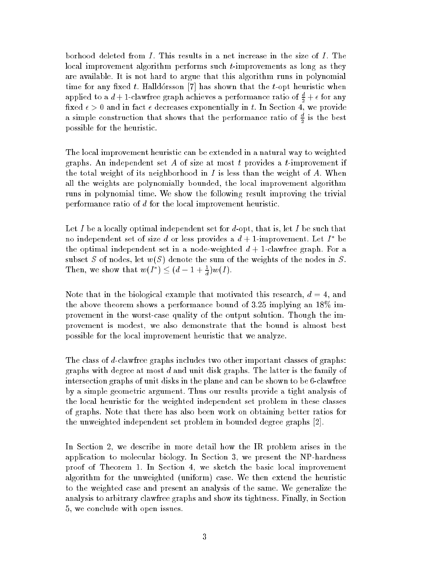borhood deleted from  $I$ . This results in a net increase in the size of  $I$ . The local improvement algorithm performs such t-improvements as long as they are available. It is not hard to argue that this algorithm runs in polynomial time for any fixed  $t$ . Halldórsson [7] has shown that the  $t$ -opt heuristic when applied to a  $a+$  1-clawfree graph achieves a performance ratio of  $\frac{1}{2}+\epsilon$  for any fixed  $\epsilon > 0$  and in fact  $\epsilon$  decreases exponentially in t. In Section 4, we provide a simple construction that shows that the performance ratio of  $\frac{1}{2}$  is the best possible for the heuristic.

The local improvement heuristic can be extended in a natural way to weighted graphs. An independent set A of size at most  $t$  provides a  $t$ -improvement if the total weight of its neighborhood in  $I$  is less than the weight of  $A$ . When all the weights are polynomially bounded, the local improvement algorithm runs in polynomial time. We show the following result improving the trivial performance ratio of d for the local improvement heuristic.

Let I be a locally optimal independent set for  $d$ -opt, that is, let I be such that по писеренаент set of size  $a$  or less provides a  $a+1$ -пиргоvement. Let  $\textit{\textbf{1}}$  be the optimal independent set in a node-weighted  $d + 1$ -clawfree graph. For a subset S of nodes, let  $w(S)$  denote the sum of the weights of the nodes in S. Then, we show that  $w(I) \leq (d - 1 + \frac{1}{2})w(I)$ .

<sup>d</sup>

Note that in the biological example that motivated this research,  $d = 4$ , and the above theorem shows a performance bound of 3:25 implying an 18% improvement in the worst-case quality of the output solution. Though the improvement is modest, we also demonstrate that the bound is almost best possible for the local improvement heuristic that we analyze.

The class of d-clawfree graphs includes two other important classes of graphs: graphs with degree at most d and unit disk graphs. The latter is the family of intersection graphs of unit disks in the plane and can be shown to be 6-clawfree by a simple geometric argument. Thus our results provide a tight analysis of the local heuristic for the weighted independent set problem in these classes of graphs. Note that there has also been work on obtaining better ratios for the unweighted independent set problem in bounded degree graphs [2].

In Section 2, we describe in more detail how the IR problem arises in the application to molecular biology. In Section 3, we present the NP-hardness proof of Theorem 1. In Section 4, we sketch the basic local improvement algorithm for the unweighted (uniform) case. We then extend the heuristic to the weighted case and present an analysis of the same. We generalize the analysis to arbitrary clawfree graphs and show its tightness. Finally, in Section 5, we conclude with open issues.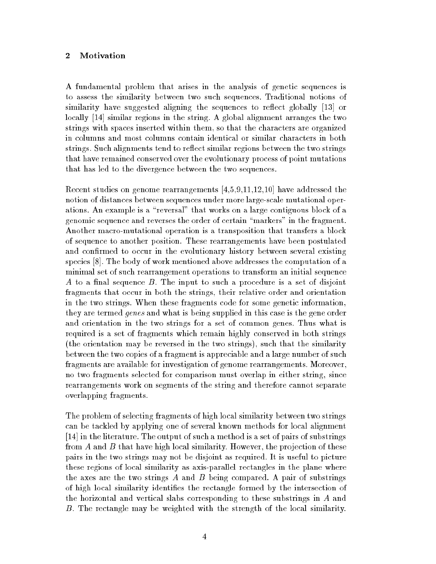#### 2 Motivation

A fundamental problem that arises in the analysis of genetic sequences is to assess the similarity between two such sequences. Traditional notions of similarity have suggested aligning the sequences to reflect globally [13] or locally [14] similar regions in the string. A global alignment arranges the two strings with spaces inserted within them, so that the characters are organized in columns and most columns contain identical or similar characters in both strings. Such alignments tend to reflect similar regions between the two strings that have remained conserved over the evolutionary process of point mutations that has led to the divergence between the two sequences.

Recent studies on genome rearrangements [4,5,9,11,12,10] have addressed the notion of distances between sequences under more large-scale mutational operations. An example is a "reversal" that works on a large contiguous block of a genomic sequence and reverses the order of certain \markers" in the fragment. Another macro-mutational operation is a transposition that transfers a block of sequence to another position. These rearrangements have been postulated and confirmed to occur in the evolutionary history between several existing species [8]. The body of work mentioned above addresses the computation of a minimal set of such rearrangement operations to transform an initial sequence A to a final sequence  $B$ . The input to such a procedure is a set of disjoint fragments that occur in both the strings, their relative order and orientation in the two strings. When these fragments code for some genetic information, they are termed genes and what is being supplied in this case is the gene order and orientation in the two strings for a set of common genes. Thus what is required is a set of fragments which remain highly conserved in both strings (the orientation may be reversed in the two strings), such that the similarity between the two copies of a fragment is appreciable and a large number of such fragments are available for investigation of genome rearrangements. Moreover, no two fragments selected for comparison must overlap in either string, since rearrangements work on segments of the string and therefore cannot separate overlapping fragments.

The problem of selecting fragments of high local similarity between two strings can be tackled by applying one of several known methods for local alignment [14] in the literature. The output of such a method is a set of pairs of substrings from A and B that have high local similarity. However, the projection of these pairs in the two strings may not be disjoint as required. It is useful to picture these regions of local similarity as axis-parallel rectangles in the plane where the axes are the two strings  $A$  and  $B$  being compared. A pair of substrings of high local similarity identies the rectangle formed by the intersection of the horizontal and vertical slabs corresponding to these substrings in A and B. The rectangle may be weighted with the strength of the local similarity.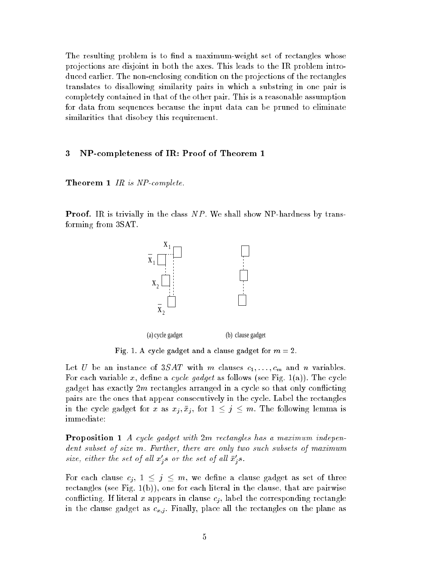The resulting problem is to find a maximum-weight set of rectangles whose pro jections are disjoint in both the axes. This leads to the IR problem introduced earlier. The non-enclosing condition on the projections of the rectangles translates to disallowing similarity pairs in which a substring in one pair is completely contained in that of the other pair. This is a reasonable assumption for data from sequences because the input data can be pruned to eliminate similarities that disobey this requirement.

#### 3 NP-completeness of IR: Proof of Theorem 1

**Theorem 1** IR is NP-complete.

**Proof.** IR is trivially in the class  $NP$ . We shall show NP-hardness by transforming from 3SAT.



Fig. 1. A cycle gadget and a clause gadget for  $m = 2$ .

Let U be an instance of  $3SAT$  with m clauses  $c_1, \ldots, c_m$  and n variables. For each variable x, define a *cycle gadget* as follows (see Fig. 1(a)). The cycle gadget has exactly  $2m$  rectangles arranged in a cycle so that only conflicting pairs are the ones that appear consecutively in the cycle. Label the rectangles in the cycle gadget for x as  $x_j, \bar{x}_j$ , for  $1 \leq j \leq m$ . The following lemma is immediate:

**Proposition 1** A cycle gadget with 2m rectangles has a maximum independent subset of size m. Further, there are only two such subsets of maximum size, either the set of all  $x_j s$  or the set of all  $x_j s$  .

For each clause  $c_j$ ,  $1 \leq j \leq m$ , we define a clause gadget as set of three rectangles (see Fig. 1(b)), one for each literal in the clause, that are pairwise conflicting. If literal x appears in clause  $c_i$ , label the corresponding rectangle in the clause gadget as  $c_{x,j}$ . Finally, place all the rectangles on the plane as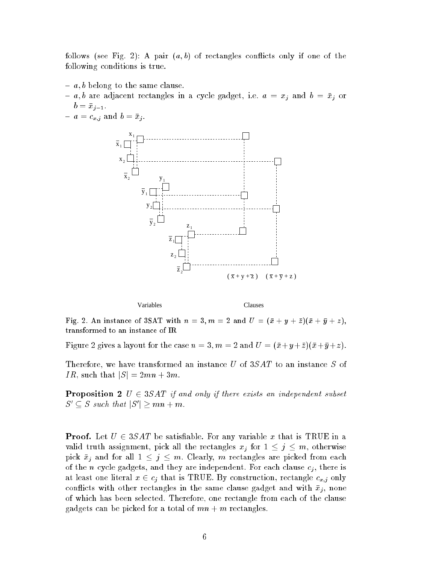follows (see Fig. 2): A pair  $(a, b)$  of rectangles conflicts only if one of the following conditions is true.

- ${ -a, b}$  belong to the same clause.
- ${ -a, b}$  are adjacent rectangles in a cycle gadget, i.e.  $a = x_j$  and  $b = \bar{x}_j$  or  $b = \bar{x}_{j-1}.$
- $-a = c_{x,j}$  and  $b = \bar{x}_j$ .



Variables Clauses

Fig. 2. An instance of 3SAT with  $n = 3, m = 2$  and  $U = (\bar{x} + y + \bar{z})(\bar{x} + \bar{y} + z)$ , transformed to an instance of IR

Figure 2 gives a layout for the case  $n = 3, m = 2$  and  $U = (\bar{x} + y + \bar{z})(\bar{x} + \bar{y} + z)$ .

Therefore, we have transformed an instance U of  $3SAT$  to an instance S of *IR*, such that  $|S| = 2mn + 3m$ .

**Proposition 2**  $U \in 3SAT$  if and only if there exists an independent subset  $S_0 \subseteq S_0$  such that  $|S| \geq m$  mn  $+m$ .

**Proof.** Let  $U \in 3SAT$  be satisfiable. For any variable x that is TRUE in a valid truth assignment, pick all the rectangles  $x_j$  for  $1 \leq j \leq m$ , otherwise pick  $\bar{x}_j$  and for all  $1 \leq j \leq m$ . Clearly, m rectangles are picked from each of the *n* cycle gadgets, and they are independent. For each clause  $c_j$ , there is at least one literal  $x \in c_j$  that is TRUE. By construction, rectangle  $c_{x,j}$  only conflicts with other rectangles in the same clause gadget and with  $\bar{x}_i$ , none of which has been selected. Therefore, one rectangle from each of the clause gadgets can be picked for a total of  $mn + m$  rectangles.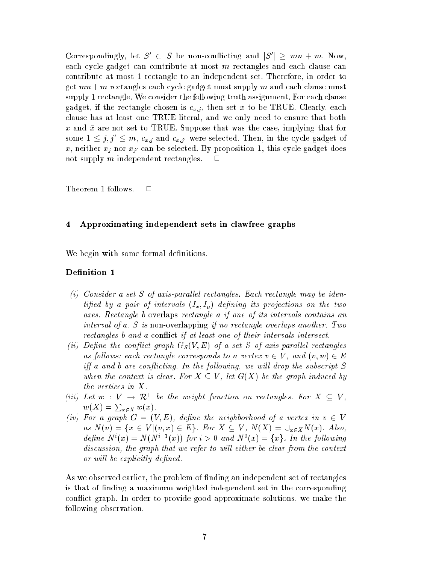Correspondingly, let  $S_0 \subset S_0$  be non-conflicting and  $|S_1| \geq m n + m$ . Now, each cycle gadget can contribute at most m rectangles and each clause can contribute at most 1 rectangle to an independent set. Therefore, in order to get  $mn + m$  rectangles each cycle gadget must supply m and each clause must supply 1 rectangle. We consider the following truth assignment. For each clause gadget, if the rectangle chosen is  $c_{x,j}$ , then set x to be TRUE. Clearly, each clause has at least one TRUE literal, and we only need to ensure that both x and  $\bar{x}$  are not set to TRUE. Suppose that was the case, implying that for some  $1 \leq j, j' \leq m$ ,  $c_{x,j}$  and  $c_{\bar{x},j'}$  were selected. Then, in the cycle gadget of x, neither  $\bar{x}_j$  nor  $x_{j'}$  can be selected. By proposition 1, this cycle gadget does not supply m independent rectangles.  $\Box$ 

Theorem 1 follows.  $\square$ 

#### 4 Approximating independent sets in clawfree graphs

We begin with some formal definitions.

#### Definition 1

- (i) Consider a set S of axis-parallel rectangles. Each rectangle may be identified by a pair of intervals  $(I_x, I_y)$  defining its projections on the two axes. Rectangle b overlaps rectangle a if one of its intervals contains an interval of a. S is non-overlapping if no rectangle overlaps another. Two rectangles b and a conflict if at least one of their intervals intersect.
- (ii) Define the conflict graph  $G_S(V, E)$  of a set S of axis-parallel rectangles as follows: each rectangle corresponds to a vertex  $v \in V$ , and  $(v, w) \in E$ iff a and b are conflicting. In the following, we will drop the subscript  $S$ when the context is clear. For  $X \subseteq V$ , let  $G(X)$  be the graph induced by the vertices in X.
- (iii) Let  $w : V \rightarrow \mathcal{K}$  be the weight function on rectangles. For  $X \subseteq V$ ,  $w(X) = \sum_{x \in X} w(x)$ .
- (iv) For a graph  $G = (V, E)$ , define the neighborhood of a vertex in  $v \in V$ as  $N(v) = \{x \in V | (v, x) \in E\}$ . For  $X \subseteq V$ ,  $N(X) = \bigcup_{x \in X} N(x)$ . Also, define  $N(x) = N(N - x)$  for  $i > 0$  and  $N(x) = \{x\}$ . In the following discussion, the graph that we refer to will either be clear from the context  $or\ will\ be\ explicitly\ defined.$

As we observed earlier, the problem of finding an independent set of rectangles is that of nding a maximum weighted independent set in the corresponding con
ict graph. In order to provide good approximate solutions, we make the following observation.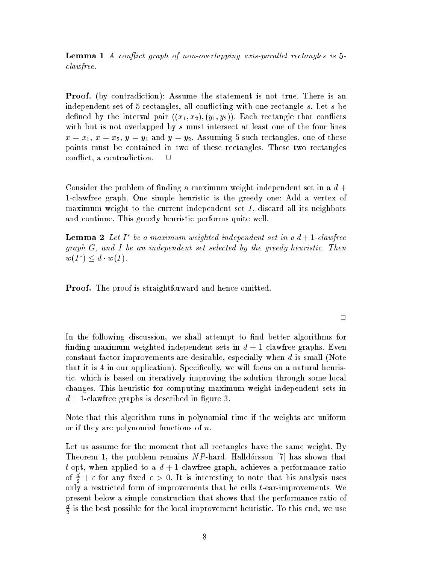**Lemma 1** A conflict graph of non-overlapping axis-parallel rectangles is  $5$ clawfree.

Proof. (by contradiction): Assume the statement is not true. There is an independent set of 5 rectangles, all conflicting with one rectangle  $s$ . Let  $s$  be defined by the interval pair  $((x_1, x_2), (y_1, y_2))$ . Each rectangle that conflicts with but is not overlapped by s must intersect at least one of the four lines  $x = x_1, x = x_2, y = y_1$  and  $y = y_2$ . Assuming 5 such rectangles, one of these points must be contained in two of these rectangles. These two rectangles conflict, a contradiction.  $\Box$ 

Consider the problem of finding a maximum weight independent set in a  $d +$ 1-clawfree graph. One simple heuristic is the greedy one: Add a vertex of maximum weight to the current independent set  $I$ , discard all its neighbors and continue. This greedy heuristic performs quite well.

 ${\bf Lemma}$   ${\bf z}$  . Let  $I$  be a maximum weighted independent set in a  $a+1$ -clawfree graph G, and I be an independent set selected by the greedy heuristic. Then  $w(I \mid \leq a \cdot w(I).$ 

Proof. The proof is straightforward and hence omitted.

In the following discussion, we shall attempt to find better algorithms for finding maximum weighted independent sets in  $d + 1$  clawfree graphs. Even constant factor improvements are desirable, especially when  $d$  is small (Note that it is 4 in our application). Specically, we will focus on a natural heuristic, which is based on iteratively improving the solution through some local changes. This heuristic for computing maximum weight independent sets in  $d+1$ -clawfree graphs is described in figure 3.

Note that this algorithm runs in polynomial time if the weights are uniform or if they are polynomial functions of n.

Let us assume for the moment that all rectangles have the same weight. By Theorem 1, the problem remains  $NP$ -hard. Halldorsson [7] has shown that t-opt, when applied to a  $d + 1$ -clawfree graph, achieves a performance ratio of  $\frac{1}{2} + \epsilon$  for any fixed  $\epsilon > 0$ . It is interesting to note that his analysis uses only a restricted form of improvements that he calls t-ear-improvements. We present below a simple construction that shows that the performance ratio of  $\frac{1}{6}$  is the best possible for the local improvement heuristic. To this end, we use

 $\Box$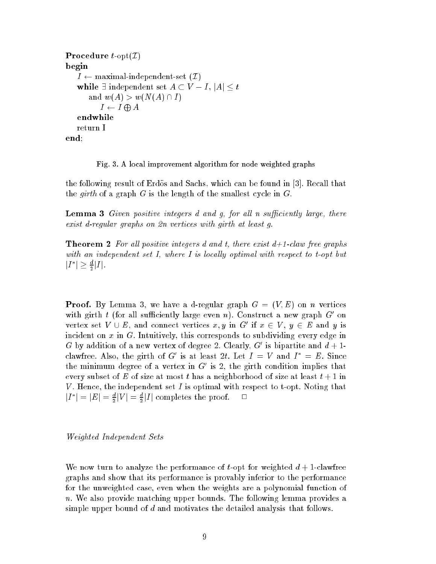```
Procedure t-opt(\mathcal{I})begin
    I \leftarrow maximal-independent-set (\mathcal{I})while \exists independent set A \subset V - I, |A| \le tand w(A) > w(N(A) \cap I)I \leftarrow I \bigoplus Aendwhile
   return I
end;
```
Fig. 3. A local improvement algorithm for node weighted graphs

the following result of Erdös and Sachs, which can be found in [3]. Recall that the girth of a graph  $G$  is the length of the smallest cycle in  $G$ .

**Lemma 3** Given positive integers  $d$  and  $g$ , for all n sufficiently large, there exist d-regular graphs on 2n vertices with girth at least g.

**Theorem 2** For all positive integers d and t, there exist  $d+1$ -claw free graphs with an independent set  $I$ , where  $I$  is locally optimal with respect to t-opt but  $|I| \geq \frac{1}{2}|I|.$ 

**Proof.** By Lemma 3, we have a d-regular graph  $G = (V, E)$  on n vertices with girth  $t$  (for all sufficiently large even  $n$ ). Construct a new graph  $\rm{G}$  on vertex set  $V \cup E$ , and connect vertices  $x, y$  in  $G$  if  $x \in V$ ,  $y \in E$  and  $y$  is incident on x in G. Intuitively, this corresponds to subdividing every edge in G by addition of a new vertex of degree 2. Clearly, G is bipartite and  $a + 1$ clawfree. Also, the girth of G is at least  $2t$ . Let  $I = V$  and  $I = E$ . Since the minimum degree of a vertex in  $G$  is  $Z$ , the girth condition implies that every subset of E of size at most t has a neighborhood of size at least  $t + 1$  in V. Hence, the independent set I is optimal with respect to t-opt. Noting that  $|I| = |E| = \frac{1}{2}|V| = \frac{1}{2}|I|$  completes the proof.  $\Box$  $\overline{\phantom{a}}$  $-$ 

Weighted Independent Sets

We now turn to analyze the performance of t-opt for weighted  $d+1$ -clawfree graphs and show that its performance is provably inferior to the performance for the unweighted case, even when the weights are a polynomial function of n. We also provide matching upper bounds. The following lemma provides a simple upper bound of  $d$  and motivates the detailed analysis that follows.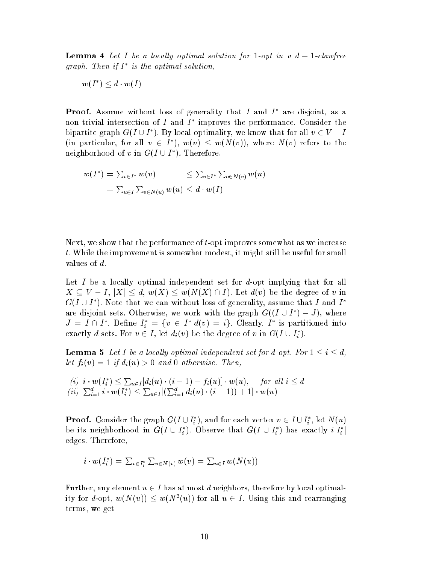**Lemma 4** Let I be a locally optimal solution for 1-opt in a  $d + 1$ -clawfree graph. Then if I is the optimal solution,

$$
w(I^*) \leq d \cdot w(I)
$$

**Proof.** Assume without loss of generality that  $I$  and  $I$  are disjoint, as a non trivial intersection of I and I improves the performance. Consider the bipartite graph G(I  $\cup$  I ). By local optimality, we know that for all  $v \in V - I$ (in particular, for all  $v \in I$  ),  $w(v) \leq w(N(v))$ , where  $N(v)$  refers to the  $\lim_{\varepsilon \to 0}$  in  $\mathcal{L}(I \cup I)$ . Therefore,

$$
w(I^*) = \sum_{v \in I^*} w(v) \leq \sum_{v \in I^*} \sum_{u \in N(v)} w(u)
$$
  
= 
$$
\sum_{u \in I} \sum_{v \in N(u)} w(u) \leq d \cdot w(I)
$$

Next, we show that the performance of t-opt improves somewhat as we increase t. While the improvement is somewhat modest, it might still be useful for small values of d.

Let  $I$  be a locally optimal independent set for  $d$ -opt implying that for all  $X \subseteq V - I$ ,  $|X| \leq d$ ,  $w(X) \leq w(N(X) \cap I)$ . Let  $d(v)$  be the degree of v in G(I  $\cup$  I  $\,$  ). Note that we can without loss of generality, assume that I and I are disjoint sets. Utherwise, we work with the graph  $\mathrm{G}((I \cup I) - J)$ , where  $J = I \cup I$ . Denne  $I_i = \{v \in I \mid a(v) = i\}$ . Clearly, I is partitioned into exactly a sets. For  $v \in I$ , let  $a_i(v)$  be the degree of v in  $G(I \cup I_i)$ .

**Lemma 5** Let I be a locally optimal independent set for d-opt. For  $1 \le i \le d$ , let  $f_i(u) = 1$  if  $d_i(u) > 0$  and 0 otherwise. Then,

 $(i) \ i \cdot w(I_i^*) \leq \sum_{u \in I} [d_i(u) \cdot (i-1) + f_i(u)] \cdot w(u), \quad \text{ for all } i \leq d$ <br>  $(ii) \ \sum_{i=1}^d i \cdot w(I_i^*) \leq \sum_{u \in I} [(\sum_{i=1}^d d_i(u) \cdot (i-1)) + 1] \cdot w(u)$ 

**Proof.** Consider the graph  $G(I \cup I_i)$ , and for each vertex  $v \in I \cup I_i$ , let  $N(u)$ <sup>i</sup> be its neighborhood in  $G(I \cup I_i)$ . Observe that  $G(I \cup I_i)$  has exactly  $i|I_i|$ edges. Therefore,

$$
i \cdot w(I_i^*) = \sum_{v \in I_i^*} \sum_{u \in N(v)} w(v) = \sum_{u \in I} w(N(u))
$$

Further, any element  $u \in I$  has at most d neighbors, therefore by local optimality for a-opt,  $w(x|u) \ge w(x^2(u))$  for all  $u \in I$ . Using this and rearranging terms, we get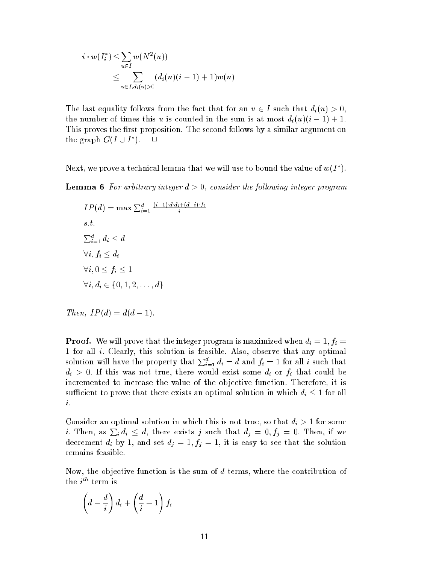$$
i \cdot w(I_i^*) \le \sum_{u \in I} w(N^2(u))
$$
  
 
$$
\le \sum_{u \in I, d_i(u) > 0} (d_i(u)(i - 1) + 1)w(u)
$$

The last equality follows from the fact that for an  $u \in I$  such that  $d_i(u) > 0$ , the number of times this u is counted in the sum is at most  $d_i(u)(i-1) + 1$ . This proves the first proposition. The second follows by a similar argument on  $\text{true}$  graph  $\text{G}(I \cup I)$ .  $\Box$ 

 ${\bf Next},$  we prove a technical lemma that we will use to bound the value of  $w(I_-)$ .

**Lemma 6** For arbitrary integer  $d > 0$ , consider the following integer program

$$
IP(d) = \max \sum_{i=1}^{d} \frac{(i-1) \cdot d \cdot d_i + (d-i) \cdot f_i}{i}
$$
  
s.t.  

$$
\sum_{i=1}^{d} d_i \leq d
$$
  

$$
\forall i, f_i \leq d_i
$$
  

$$
\forall i, 0 \leq f_i \leq 1
$$
  

$$
\forall i, d_i \in \{0, 1, 2, ..., d\}
$$

 $Then, IP(d) = d(d-1).$ 

**Proof.** We will prove that the integer program is maximized when  $d_i = 1, f_i =$ 1 for all i. Clearly, this solution is feasible. Also, observe that any optimal solution will have the property that  $\sum_{i=1}^{a} d_i = d$  and  $f_i = 1$  for all i such that  $d_i > 0$ . If this was not true, there would exist some  $d_i$  or  $f_i$  that could be incremented to increase the value of the objective function. Therefore, it is sufficient to prove that there exists an optimal solution in which  $d_i \leq 1$  for all  $\iota$  .

Consider an optimal solution in which this is not true, so that  $d_i > 1$  for some i. Then, as  $\sum_i d_i \leq d$ , there exists j such that  $d_j = 0, f_j = 0$ . Then, if we decrement  $d_i$  by 1, and set  $d_j = 1, f_j = 1$ , it is easy to see that the solution remains feasible.

Now, the objective function is the sum of  $d$  terms, where the contribution of  ${\rm tne}~i^{\cdots}$  term is

$$
\left(d-\frac{d}{i}\right)d_i+\left(\frac{d}{i}-1\right)f_i
$$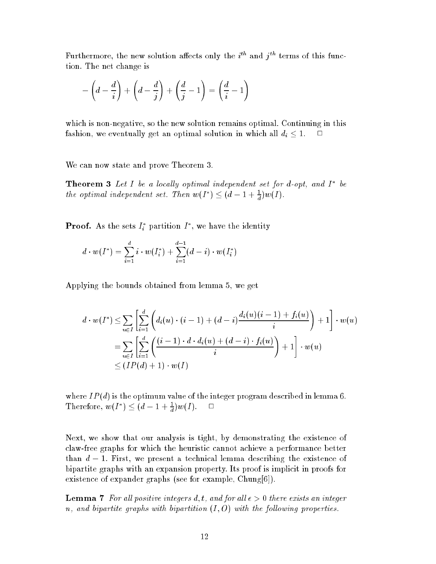<code>rurthermore</code>, the new solution affects only the  $i^{\cdots}$  and  $j^{\cdots}$  terms of this function. The net change is

$$
-\left(d-\frac{d}{i}\right) + \left(d-\frac{d}{j}\right) + \left(\frac{d}{j}-1\right) = \left(\frac{d}{i}-1\right)
$$

which is non-negative, so the new solution remains optimal. Continuing in this fashion, we eventually get an optimal solution in which all  $d_i \leq 1$ .  $\Box$ 

We can now state and prove Theorem 3.

**Theorem 3** Let 1 be a locally optimal independent set for a-opt, and 1 be the optimal independent set. Then  $w(I_+) \leq (d-1+\frac{1}{2})w(I_+)$ .

**Proof.** As the sets  $I_i$  partition  $I$  , we have the identity

$$
d \cdot w(I^*) = \sum_{i=1}^d i \cdot w(I_i^*) + \sum_{i=1}^{d-1} (d-i) \cdot w(I_i^*)
$$

Applying the bounds obtained from lemma 5, we get

$$
d \cdot w(I^*) \leq \sum_{u \in I} \left[ \sum_{i=1}^d \left( d_i(u) \cdot (i-1) + (d-i) \frac{d_i(u)(i-1) + f_i(u)}{i} \right) + 1 \right] \cdot w(u)
$$
  
= 
$$
\sum_{u \in I} \left[ \sum_{i=1}^d \left( \frac{(i-1) \cdot d \cdot d_i(u) + (d-i) \cdot f_i(u)}{i} \right) + 1 \right] \cdot w(u)
$$
  

$$
\leq (IP(d) + 1) \cdot w(I)
$$

where  $IP(d)$  is the optimum value of the integer program described in lemma 6. I nerefore,  $w(I) \leq (d - 1 + \frac{1}{2})w(I)$ .  $\Box$ 

Next, we show that our analysis is tight, by demonstrating the existence of claw-free graphs for which the heuristic cannot achieve a performance better than  $d-1$ . First, we present a technical lemma describing the existence of bipartite graphs with an expansion property. Its proof is implicit in proofs for existence of expander graphs (see for example, Chung[6]).

**Lemma 7** For all positive integers d, t, and for all  $\epsilon > 0$  there exists an integer n, and bipartite graphs with bipartition  $(I, O)$  with the following properties.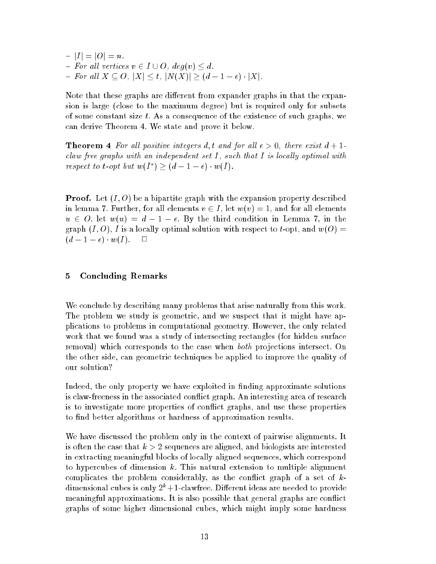$|I| = |O| = n$ .  $-$  For all vertices  $v \in I \cup O$ ,  $deg(v) \leq d$ .  $=$  For all  $X \subseteq O, |X| \leq t, |N(X)| \geq (d - 1 - \epsilon) \cdot |X|.$ 

Note that these graphs are different from expander graphs in that the expansion is large (close to the maximum degree) but is required only for subsets of some constant size t. As a consequence of the existence of such graphs, we can derive Theorem 4. We state and prove it below.

**Theorem 4** For all positive integers d, t and for all  $\epsilon > 0$ , there exist  $d + 1$ claw free graphs with an independent set  $I$ , such that  $I$  is locally optimal with respect to t-opt but  $w(1) > (a-1-\epsilon) \cdot w(1)$ .

**Proof.** Let  $(I, O)$  be a bipartite graph with the expansion property described in lemma 7. Further, for all elements  $v \in I$ , let  $w(v) = 1$ , and for all elements  $u \in O$ , let  $w(u) = d - 1 - \epsilon$ . By the third condition in Lemma 7, in the graph  $(I, O)$ , I is a locally optimal solution with respect to t-opt, and  $w(O)$  =  $(d-1-\epsilon)\cdot w(I).$ 

## 5 Concluding Remarks

We conclude by describing many problems that arise naturally from this work. The problem we study is geometric, and we suspect that it might have applications to problems in computational geometry. However, the only related work that we found was a study of intersecting rectangles (for hidden surface removal) which corresponds to the case when both projections intersect. On the other side, can geometric techniques be applied to improve the quality of our solution?

Indeed, the only property we have exploited in finding approximate solutions is claw-freeness in the associated con
ict graph. An interesting area of research is to investigate more properties of con
ict graphs, and use these properties to find better algorithms or hardness of approximation results.

We have discussed the problem only in the context of pairwise alignments. It is often the case that  $k > 2$  sequences are aligned, and biologists are interested in extracting meaningful blocks of locally aligned sequences, which correspond to hypercubes of dimension  $k$ . This natural extension to multiple alignment complicates the problem considerably, as the conflict graph of a set of  $k$ dimensional cubes is only  $2^\circ$  + 1-clawiree. Different ideas are needed to provide meaningful approximations. It is also possible that general graphs are con
ict graphs of some higher dimensional cubes, which might imply some hardness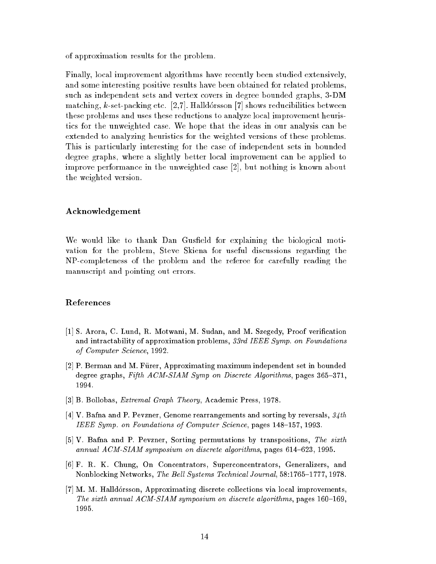of approximation results for the problem.

Finally, local improvement algorithms have recently been studied extensively, and some interesting positive results have been obtained for related problems, such as independent sets and vertex covers in degree bounded graphs, 3-DM matching, k-set-packing etc.  $[2,7]$ . Halldórsson [7] shows reducibilities between these problems and uses these reductions to analyze local improvement heuristics for the unweighted case. We hope that the ideas in our analysis can be extended to analyzing heuristics for the weighted versions of these problems. This is particularly interesting for the case of independent sets in bounded degree graphs, where a slightly better local improvement can be applied to improve performance in the unweighted case [2], but nothing is known about the weighted version.

#### Acknowledgement

We would like to thank Dan Gusfield for explaining the biological motivation for the problem, Steve Skiena for useful discussions regarding the NP-completeness of the problem and the referee for carefully reading the manuscript and pointing out errors.

#### References

- [1] S. Arora, C. Lund, R. Motwani, M. Sudan, and M. Szegedy, Proof verication and intractability of approximation problems, 33rd IEEE Symp. on Foundations of Computer Science, 1992.
- [2] P. Berman and M. Furer, Approximating maximum independent set in bounded degree graphs, Fifth  $ACM-SIAM$  Symp on Discrete Algorithms, pages 365-371, 1994.
- [3] B. Bollobas, Extremal Graph Theory, Academic Press, 1978.
- [4] V. Bafna and P. Pevzner, Genome rearrangements and sorting by reversals,  $34th$ IEEE Symp. on Foundations of Computer Science, pages 148-157, 1993.
- [5] V. Bafna and P. Pevzner, Sorting permutations by transpositions, The sixth annual  $ACM-SIAM$  symposium on discrete algorithms, pages 614-623, 1995.
- [6] F. R. K. Chung, On Concentrators, Superconcentrators, Generalizers, and Nonblocking Networks, The Bell Systems Technical Journal, 58:1765-1777, 1978.
- [7] M. M. Halldórsson, Approximating discrete collections via local improvements, The sixth annual  $ACM-SIAM$  symposium on discrete algorithms, pages  $160{-}169$ , 1995.